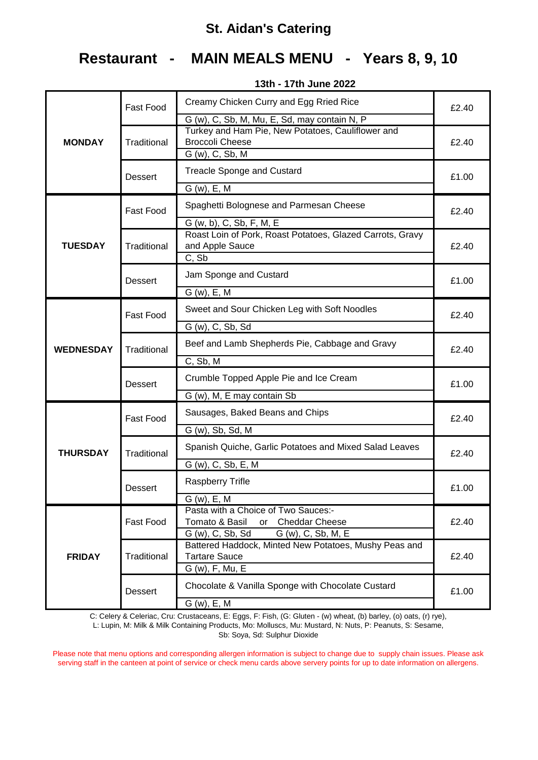# **Restaurant - MAIN MEALS MENU - Years 8, 9, 10**

|                  | <b>Fast Food</b> | Creamy Chicken Curry and Egg Rried Rice<br>G (w), C, Sb, M, Mu, E, Sd, may contain N, P                           | £2.40 |  |
|------------------|------------------|-------------------------------------------------------------------------------------------------------------------|-------|--|
| <b>MONDAY</b>    | Traditional      | Turkey and Ham Pie, New Potatoes, Cauliflower and<br><b>Broccoli Cheese</b><br>G (w), C, Sb, M                    | £2.40 |  |
|                  | <b>Dessert</b>   | <b>Treacle Sponge and Custard</b>                                                                                 | £1.00 |  |
|                  |                  | $G(w)$ , E, M                                                                                                     |       |  |
|                  | <b>Fast Food</b> | Spaghetti Bolognese and Parmesan Cheese                                                                           | £2.40 |  |
| <b>TUESDAY</b>   | Traditional      | G (w, b), C, Sb, F, M, E<br>Roast Loin of Pork, Roast Potatoes, Glazed Carrots, Gravy<br>and Apple Sauce<br>C, Sb | £2.40 |  |
|                  | <b>Dessert</b>   | Jam Sponge and Custard<br>$G(w)$ , E, M                                                                           | £1.00 |  |
|                  | <b>Fast Food</b> | Sweet and Sour Chicken Leg with Soft Noodles                                                                      | £2.40 |  |
|                  |                  | $\overline{G(w)}$ , C, Sb, Sd                                                                                     |       |  |
| <b>WEDNESDAY</b> | Traditional      | Beef and Lamb Shepherds Pie, Cabbage and Gravy                                                                    | £2.40 |  |
|                  |                  | C, Sb, M                                                                                                          |       |  |
|                  | <b>Dessert</b>   | Crumble Topped Apple Pie and Ice Cream                                                                            | £1.00 |  |
|                  |                  | G (w), M, E may contain Sb                                                                                        |       |  |
|                  | <b>Fast Food</b> | Sausages, Baked Beans and Chips                                                                                   | £2.40 |  |
|                  |                  | G (w), Sb, Sd, M                                                                                                  |       |  |
| <b>THURSDAY</b>  | Traditional      | Spanish Quiche, Garlic Potatoes and Mixed Salad Leaves                                                            | £2.40 |  |
|                  |                  | G (w), C, Sb, E, M                                                                                                |       |  |
|                  | Dessert          | <b>Raspberry Trifle</b>                                                                                           | £1.00 |  |
|                  |                  | G (w), E, M                                                                                                       |       |  |
| <b>FRIDAY</b>    | Fast Food        | Pasta with a Choice of Two Sauces:-<br>Tomato & Basil<br><b>Cheddar Cheese</b><br>or                              | £2.40 |  |
|                  |                  | G (w), C, Sb, Sd<br>G (w), C, Sb, M, E                                                                            |       |  |
|                  |                  | Battered Haddock, Minted New Potatoes, Mushy Peas and                                                             |       |  |
|                  | Traditional      | <b>Tartare Sauce</b>                                                                                              | £2.40 |  |
|                  |                  | G (w), F, Mu, E                                                                                                   |       |  |
|                  | <b>Dessert</b>   | Chocolate & Vanilla Sponge with Chocolate Custard                                                                 | £1.00 |  |
|                  |                  | $G(w)$ , E, M                                                                                                     |       |  |

**13th - 17th June 2022**

C: Celery & Celeriac, Cru: Crustaceans, E: Eggs, F: Fish, (G: Gluten - (w) wheat, (b) barley, (o) oats, (r) rye),

L: Lupin, M: Milk & Milk Containing Products, Mo: Molluscs, Mu: Mustard, N: Nuts, P: Peanuts, S: Sesame, Sb: Soya, Sd: Sulphur Dioxide

Please note that menu options and corresponding allergen information is subject to change due to supply chain issues. Please ask serving staff in the canteen at point of service or check menu cards above servery points for up to date information on allergens.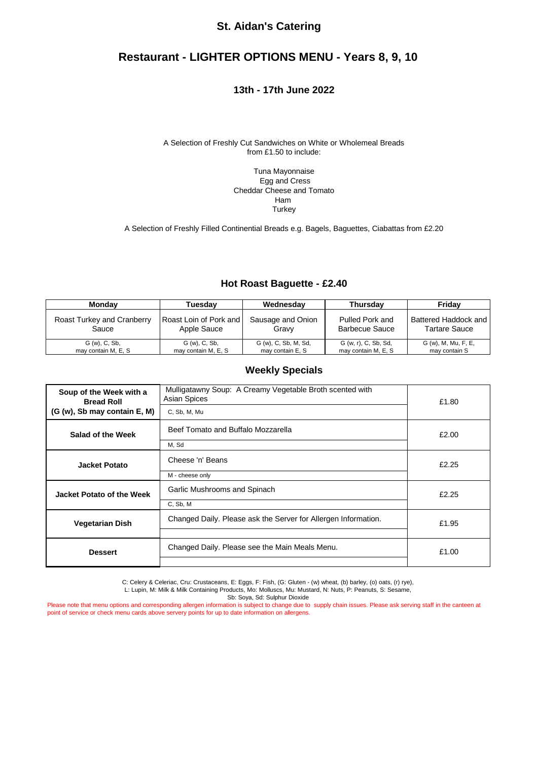## **Restaurant - LIGHTER OPTIONS MENU - Years 8, 9, 10**

#### **13th - 17th June 2022**

A Selection of Freshly Cut Sandwiches on White or Wholemeal Breads from £1.50 to include:

> Tuna Mayonnaise Egg and Cress Cheddar Cheese and Tomato Ham **Turkey**

A Selection of Freshly Filled Continential Breads e.g. Bagels, Baguettes, Ciabattas from £2.20

#### **Hot Roast Baguette - £2.40**

| <b>Monday</b>              | Tuesdav                | Wednesdav            | <b>Thursdav</b>      | Fridav               |
|----------------------------|------------------------|----------------------|----------------------|----------------------|
| Roast Turkey and Cranberry | Roast Loin of Pork and | Sausage and Onion    | Pulled Pork and      | Battered Haddock and |
| Sauce                      | Apple Sauce            | Gravy                | Barbecue Sauce       | <b>Tartare Sauce</b> |
| G (w), C, Sb,              | G (w), C, Sb,          | G (w), C, Sb, M, Sd, | G (w, r), C, Sb, Sd, | G (w), M, Mu, F, E,  |
| may contain M, E, S        | may contain M, E, S    | may contain E, S     | may contain M, E, S  | may contain S        |

#### **Weekly Specials**

| Soup of the Week with a<br><b>Bread Roll</b><br>(G (w), Sb may contain E, M) | Mulligatawny Soup: A Creamy Vegetable Broth scented with<br><b>Asian Spices</b><br>C, Sb, M, Mu | £1.80 |  |
|------------------------------------------------------------------------------|-------------------------------------------------------------------------------------------------|-------|--|
| Beef Tomato and Buffalo Mozzarella<br>Salad of the Week<br>M, Sd             |                                                                                                 | £2.00 |  |
| <b>Jacket Potato</b>                                                         | Cheese 'n' Beans<br>M - cheese only                                                             |       |  |
| Jacket Potato of the Week                                                    | Garlic Mushrooms and Spinach<br>C, Sb, M                                                        | £2.25 |  |
| <b>Vegetarian Dish</b>                                                       | Changed Daily. Please ask the Server for Allergen Information.                                  | £1.95 |  |
| <b>Dessert</b>                                                               | Changed Daily. Please see the Main Meals Menu.                                                  | £1.00 |  |

C: Celery & Celeriac, Cru: Crustaceans, E: Eggs, F: Fish, (G: Gluten - (w) wheat, (b) barley, (o) oats, (r) rye),

L: Lupin, M: Milk & Milk Containing Products, Mo: Molluscs, Mu: Mustard, N: Nuts, P: Peanuts, S: Sesame,

Sb: Soya, Sd: Sulphur Dioxide

Please note that menu options and corresponding allergen information is subject to change due to supply chain issues. Please ask serving staff in the canteen at point of service or check menu cards above servery points for up to date information on allergens.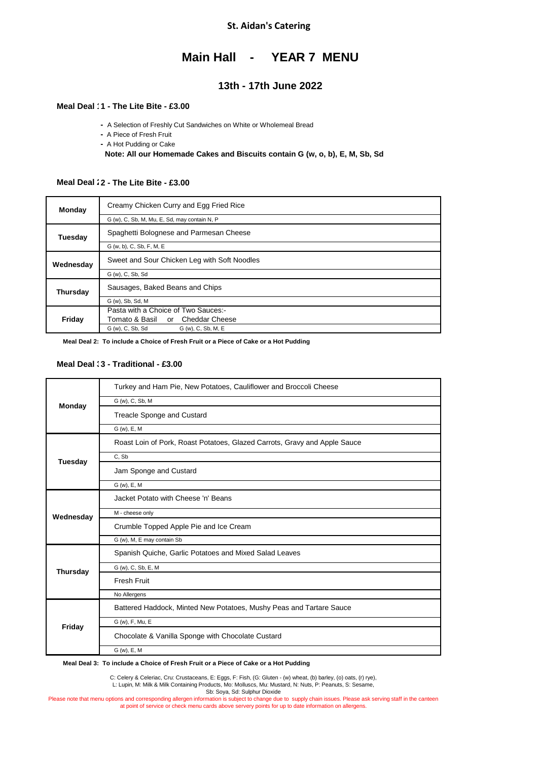## **Main Hall - YEAR 7 MENU**

### **13th - 17th June 2022**

#### **Meal Deal 1 - The Lite Bite - £2.45 1 - The Lite Bite - £3.00**

- A Selection of Freshly Cut Sandwiches on White or Wholemeal Bread
- **-** A Piece of Fresh Fruit
- **-** A Hot Pudding or Cake

 **Note: All our Homemade Cakes and Biscuits contain G (w, o, b), E, M, Sb, Sd**

#### **Meal Deal 12 - The Lite Bite - £3.00**

| Monday    | Creamy Chicken Curry and Egg Fried Rice      |
|-----------|----------------------------------------------|
|           | G (w), C, Sb, M, Mu, E, Sd, may contain N, P |
| Tuesdav   | Spaghetti Bolognese and Parmesan Cheese      |
|           | G (w, b), C, Sb, F, M, E                     |
| Wednesday | Sweet and Sour Chicken Leg with Soft Noodles |
|           | G (w), C, Sb, Sd                             |
| Thursday  | Sausages, Baked Beans and Chips              |
|           | G (w), Sb, Sd, M                             |
|           | Pasta with a Choice of Two Sauces:-          |
| Friday    | Tomato & Basil or Cheddar Cheese             |
|           | G (w), C, Sb, Sd<br>G (w), C, Sb, M, E       |

 **Meal Deal 2: To include a Choice of Fresh Fruit or a Piece of Cake or a Hot Pudding**

#### **Meal Deal 3 - Traditional - £2.65 3 - Traditional - £3.00**

|               | Turkey and Ham Pie, New Potatoes, Cauliflower and Broccoli Cheese         |
|---------------|---------------------------------------------------------------------------|
| <b>Monday</b> | G (w), C, Sb, M                                                           |
|               | <b>Treacle Sponge and Custard</b>                                         |
|               | $G(w)$ , E, M                                                             |
|               | Roast Loin of Pork, Roast Potatoes, Glazed Carrots, Gravy and Apple Sauce |
| Tuesday       | C, Sb                                                                     |
|               | Jam Sponge and Custard                                                    |
|               | G (w), E, M                                                               |
|               | Jacket Potato with Cheese 'n' Beans                                       |
| Wednesday     | M - cheese only                                                           |
|               | Crumble Topped Apple Pie and Ice Cream                                    |
|               | G (w), M, E may contain Sb                                                |
|               | Spanish Quiche, Garlic Potatoes and Mixed Salad Leaves                    |
| Thursday      | G (w), C, Sb, E, M                                                        |
|               | <b>Fresh Fruit</b>                                                        |
|               | No Allergens                                                              |
|               | Battered Haddock, Minted New Potatoes, Mushy Peas and Tartare Sauce       |
| Friday        | G (w), F, Mu, E                                                           |
|               | Chocolate & Vanilla Sponge with Chocolate Custard                         |
|               | G (w), E, M                                                               |

 **Meal Deal 3: To include a Choice of Fresh Fruit or a Piece of Cake or a Hot Pudding**

C: Celery & Celeriac, Cru: Crustaceans, E: Eggs, F: Fish, (G: Gluten - (w) wheat, (b) barley, (o) oats, (r) rye),<br>L: Lupin, M: Milk & Milk Containing Products, Mo: Molluscs, Mu: Mustard, N: Nuts, P: Peanuts, S: Sesame,

Sb: Soya, Sd: Sulphur Dioxide

Please note that menu options and corresponding allergen information is subject to change due to supply chain issues. Please ask serving staff in the canteen at point of service or check menu cards above servery points for up to date information on allergens.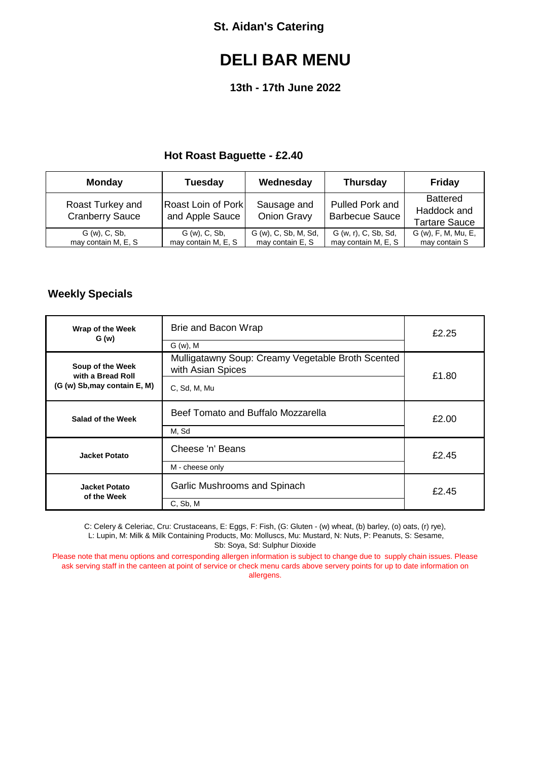# **DELI BAR MENU**

## **13th - 17th June 2022**

## **Hot Roast Baguette - £2.40**

| <b>Monday</b>                              | <b>Tuesday</b>                               | Wednesday                                | <b>Thursday</b>                             | <b>Friday</b>                                          |
|--------------------------------------------|----------------------------------------------|------------------------------------------|---------------------------------------------|--------------------------------------------------------|
| Roast Turkey and<br><b>Cranberry Sauce</b> | <b>Roast Loin of Pork</b><br>and Apple Sauce | Sausage and<br><b>Onion Gravy</b>        | Pulled Pork and<br><b>Barbecue Sauce</b>    | <b>Battered</b><br>Haddock and<br><b>Tartare Sauce</b> |
| G (w), C, Sb,<br>may contain M, E, S       | G (w), C, Sb,<br>may contain M, E, S         | G (w), C, Sb, M, Sd,<br>may contain E, S | G (w, r), C, Sb, Sd,<br>may contain M, E, S | G (w), F, M, Mu, E,<br>may contain S                   |

## **Weekly Specials**

| Wrap of the Week<br>G(w)                                              | Brie and Bacon Wrap<br>$G(w)$ , M                                                      | £2.25 |
|-----------------------------------------------------------------------|----------------------------------------------------------------------------------------|-------|
| Soup of the Week<br>with a Bread Roll<br>(G (w) Sb, may contain E, M) | Mulligatawny Soup: Creamy Vegetable Broth Scented<br>with Asian Spices<br>C, Sd, M, Mu |       |
| Beef Tomato and Buffalo Mozzarella<br>Salad of the Week<br>M, Sd      |                                                                                        | £2.00 |
| Cheese 'n' Beans<br><b>Jacket Potato</b><br>M - cheese only           |                                                                                        | £2.45 |
| <b>Jacket Potato</b><br>of the Week                                   | Garlic Mushrooms and Spinach<br>C, Sb, M                                               | £2.45 |

C: Celery & Celeriac, Cru: Crustaceans, E: Eggs, F: Fish, (G: Gluten - (w) wheat, (b) barley, (o) oats, (r) rye), L: Lupin, M: Milk & Milk Containing Products, Mo: Molluscs, Mu: Mustard, N: Nuts, P: Peanuts, S: Sesame, Sb: Soya, Sd: Sulphur Dioxide

Please note that menu options and corresponding allergen information is subject to change due to supply chain issues. Please ask serving staff in the canteen at point of service or check menu cards above servery points for up to date information on allergens.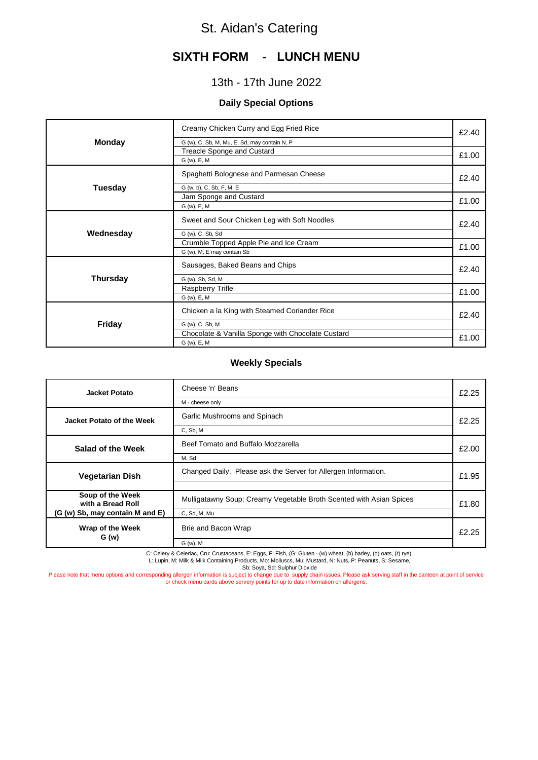## **SIXTH FORM - LUNCH MENU**

## 13th - 17th June 2022

#### **Daily Special Options**

| <b>Monday</b>   | Creamy Chicken Curry and Egg Fried Rice<br>G (w), C, Sb, M, Mu, E, Sd, may contain N, P |       |
|-----------------|-----------------------------------------------------------------------------------------|-------|
|                 | Treacle Sponge and Custard<br>G (w), E, M                                               | £1.00 |
|                 | Spaghetti Bolognese and Parmesan Cheese                                                 | £2.40 |
| Tuesday         | G (w, b), C, Sb, F, M, E<br>Jam Sponge and Custard                                      | £1.00 |
|                 | G (w), E, M                                                                             |       |
|                 | Sweet and Sour Chicken Leg with Soft Noodles                                            |       |
| Wednesday       | G (w), C, Sb, Sd                                                                        |       |
|                 | Crumble Topped Apple Pie and Ice Cream                                                  |       |
|                 | G (w), M, E may contain Sb                                                              | £1.00 |
|                 | Sausages, Baked Beans and Chips                                                         | £2.40 |
| <b>Thursday</b> | G (w), Sb, Sd, M                                                                        |       |
|                 | <b>Raspberry Trifle</b>                                                                 | £1.00 |
|                 | G (w), E, M                                                                             |       |
|                 | Chicken a la King with Steamed Coriander Rice                                           | £2.40 |
| <b>Friday</b>   | G (w), C, Sb, M                                                                         |       |
|                 | Chocolate & Vanilla Sponge with Chocolate Custard                                       |       |
|                 | G (w), E, M                                                                             | £1.00 |

#### **Weekly Specials**

| <b>Jacket Potato</b>                                                     | Cheese 'n' Beans<br>M - cheese only                                                 |       |
|--------------------------------------------------------------------------|-------------------------------------------------------------------------------------|-------|
| Jacket Potato of the Week                                                | Garlic Mushrooms and Spinach<br>C, Sb, M                                            | £2.25 |
| Salad of the Week                                                        | Beef Tomato and Buffalo Mozzarella<br>M, Sd                                         | £2.00 |
| <b>Vegetarian Dish</b>                                                   | Changed Daily. Please ask the Server for Allergen Information.                      | £1.95 |
| Soup of the Week<br>with a Bread Roll<br>(G (w) Sb, may contain M and E) | Mulligatawny Soup: Creamy Vegetable Broth Scented with Asian Spices<br>C, Sd, M, Mu | £1.80 |
| Wrap of the Week<br>G(w)                                                 | Brie and Bacon Wrap<br>G (w), M                                                     | £2.25 |

C: Celery & Celeriac, Cru: Crustaceans, E: Eggs, F: Fish, (G: Gluten - (w) wheat, (b) barley, (o) oats, (r) rye),<br>L: Lupin, M: Milk & Milk Containing Products, Mo: Molluscs, Mu: Mustard, N: Nuts, P: Peanuts, S: Sesame,

Sb: Soya, Sd: Sulphur Dioxide

Please note that menu options and corresponding allergen information is subject to change due to supply chain issues. Please ask serving staff in the canteen at point of service<br>or check menu cards above servery points for